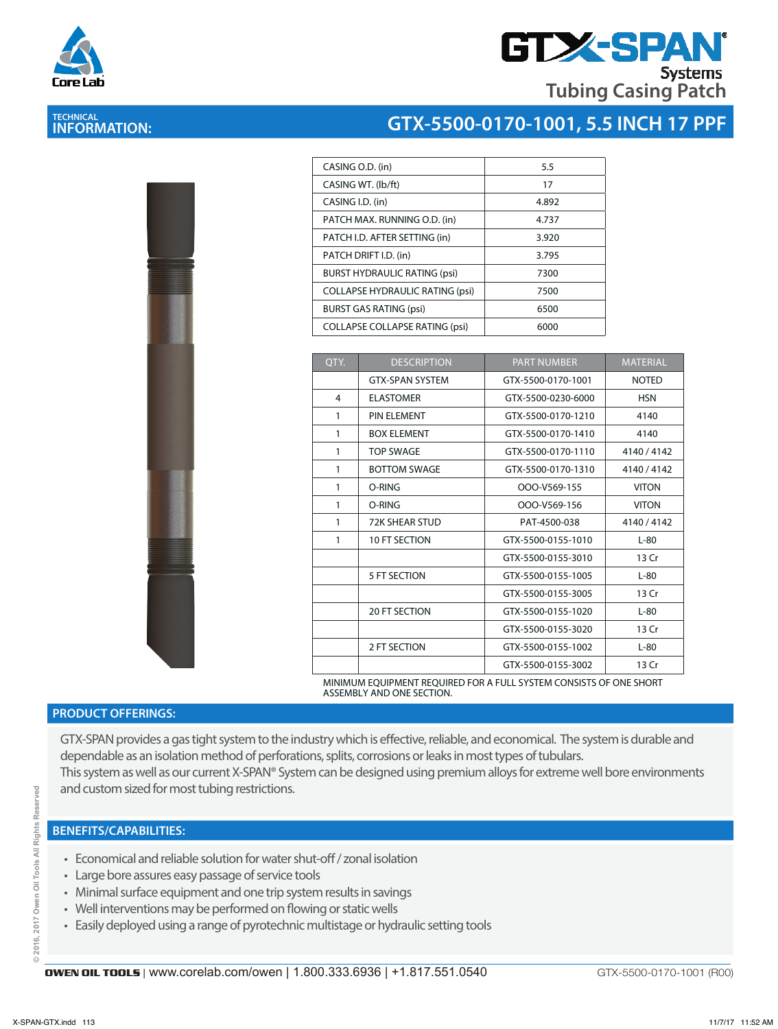



| CASING O.D. (in)                       | 5.5   |
|----------------------------------------|-------|
| CASING WT. (lb/ft)                     | 17    |
| CASING I.D. (in)                       | 4.892 |
| PATCH MAX. RUNNING O.D. (in)           | 4.737 |
| PATCH I.D. AFTER SETTING (in)          | 3.920 |
| PATCH DRIFT I.D. (in)                  | 3.795 |
| <b>BURST HYDRAULIC RATING (psi)</b>    | 7300  |
| <b>COLLAPSE HYDRAULIC RATING (psi)</b> | 7500  |
| <b>BURST GAS RATING (psi)</b>          | 6500  |
| <b>COLLAPSE COLLAPSE RATING (psi)</b>  | 6000  |

| OTY. | <b>DESCRIPTION</b>     | <b>PART NUMBER</b> | <b>MATERIAL</b> |
|------|------------------------|--------------------|-----------------|
|      | <b>GTX-SPAN SYSTEM</b> | GTX-5500-0170-1001 | <b>NOTED</b>    |
| 4    | <b>ELASTOMER</b>       | GTX-5500-0230-6000 | <b>HSN</b>      |
| 1    | <b>PIN ELEMENT</b>     | GTX-5500-0170-1210 | 4140            |
| 1    | <b>BOX ELEMENT</b>     | GTX-5500-0170-1410 | 4140            |
| 1    | <b>TOP SWAGE</b>       | GTX-5500-0170-1110 | 4140 / 4142     |
| 1    | <b>BOTTOM SWAGE</b>    | GTX-5500-0170-1310 | 4140/4142       |
| 1    | O-RING                 | OOO-V569-155       | <b>VITON</b>    |
| 1    | O-RING                 | OOO-V569-156       | <b>VITON</b>    |
| 1    | <b>72K SHEAR STUD</b>  | PAT-4500-038       | 4140 / 4142     |
| 1    | 10 FT SECTION          | GTX-5500-0155-1010 | $L-80$          |
|      |                        | GTX-5500-0155-3010 | 13 Cr           |
|      | 5 FT SECTION           | GTX-5500-0155-1005 | $L-80$          |
|      |                        | GTX-5500-0155-3005 | 13 Cr           |
|      | 20 FT SECTION          | GTX-5500-0155-1020 | $L-80$          |
|      |                        | GTX-5500-0155-3020 | 13 Cr           |
|      | 2 FT SECTION           | GTX-5500-0155-1002 | $L-80$          |
|      |                        | GTX-5500-0155-3002 | 13 Cr           |

MINIMUM EQUIPMENT REQUIRED FOR A FULL SYSTEM CONSISTS OF ONE SHORT ASSEMBLY AND ONE SECTION.

#### **PRODUCT OFFERINGS:**

GTX-SPAN provides a gas tight system to the industry which is effective, reliable, and economical. The system is durable and dependable as an isolation method of perforations, splits, corrosions or leaks in most types of tubulars. This system as well as our current X-SPAN® System can be designed using premium alloys for extreme well bore environments and custom sized for most tubing restrictions.

### **BENEFITS/CAPABILITIES:**

- Economical and reliable solution for water shut-off / zonal isolation
- Large bore assures easy passage of service tools
- Minimal surface equipment and one trip system results in savings
- Well interventions may be performed on flowing or static wells
- Easily deployed using a range of pyrotechnic multistage or hydraulic setting tools

**OWEN OIL TOOLS** | www.corelab.com/owen | 1.800.333.6936 | +1.817.551.0540

GTX-5500-0170-1001 (R00)



# **TECHNICAL INFORMATION:**

ă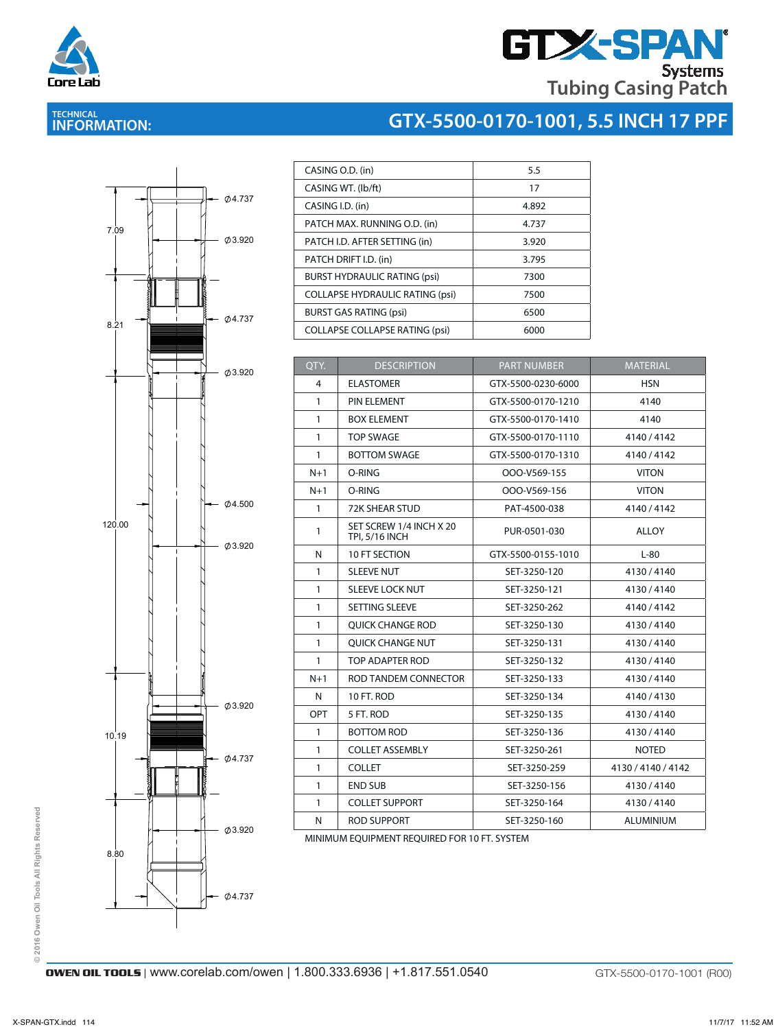

# **GTX-SPAN Tubing Casing Patch**

# **TECHNICAL INFORMATION:**





| CASING O.D. (in)                       | 5.5   |
|----------------------------------------|-------|
| CASING WT. (lb/ft)                     | 17    |
| CASING I.D. (in)                       | 4.892 |
| PATCH MAX. RUNNING O.D. (in)           | 4.737 |
| PATCH I.D. AFTER SETTING (in)          | 3.920 |
| PATCH DRIFT I.D. (in)                  | 3.795 |
| <b>BURST HYDRAULIC RATING (psi)</b>    | 7300  |
| <b>COLLAPSE HYDRAULIC RATING (psi)</b> | 7500  |
| <b>BURST GAS RATING (psi)</b>          | 6500  |
| <b>COLLAPSE COLLAPSE RATING (psi)</b>  | 6000  |

| QTY.         | <b>DESCRIPTION</b>                               | <b>PART NUMBER</b> | <b>MATERIAL</b>    |
|--------------|--------------------------------------------------|--------------------|--------------------|
| 4            | <b>ELASTOMER</b>                                 | GTX-5500-0230-6000 | <b>HSN</b>         |
| $\mathbf{1}$ | PIN ELEMENT                                      | GTX-5500-0170-1210 | 4140               |
| $\mathbf{1}$ | <b>BOX ELEMENT</b>                               | GTX-5500-0170-1410 | 4140               |
| $\mathbf{1}$ | <b>TOP SWAGE</b>                                 | GTX-5500-0170-1110 | 4140/4142          |
| $\mathbf{1}$ | <b>BOTTOM SWAGE</b>                              | GTX-5500-0170-1310 | 4140/4142          |
| $N+1$        | O-RING                                           | OOO-V569-155       | <b>VITON</b>       |
| $N+1$        | O-RING                                           | OOO-V569-156       | <b>VITON</b>       |
| $\mathbf{1}$ | 72K SHEAR STUD                                   | PAT-4500-038       | 4140/4142          |
| $\mathbf{1}$ | SET SCREW 1/4 INCH X 20<br><b>TPI, 5/16 INCH</b> | PUR-0501-030       | ALLOY              |
| N            | <b>10 FT SECTION</b>                             | GTX-5500-0155-1010 | $L-80$             |
| $\mathbf{1}$ | <b>SLEEVE NUT</b>                                | SET-3250-120       | 4130/4140          |
| $\mathbf{1}$ | <b>SLEEVE LOCK NUT</b>                           | SET-3250-121       | 4130/4140          |
| $\mathbf{1}$ | SETTING SLEEVE                                   | SET-3250-262       | 4140 / 4142        |
| $\mathbf{1}$ | <b>OUICK CHANGE ROD</b>                          | SET-3250-130       | 4130/4140          |
| $\mathbf{1}$ | <b>OUICK CHANGE NUT</b>                          | SET-3250-131       | 4130 / 4140        |
| $\mathbf{1}$ | TOP ADAPTER ROD                                  | SET-3250-132       | 4130/4140          |
| $N+1$        | ROD TANDEM CONNECTOR                             | SET-3250-133       | 4130/4140          |
| N            | 10 FT. ROD                                       | SET-3250-134       | 4140 / 4130        |
| OPT          | 5 FT. ROD                                        | SET-3250-135       | 4130/4140          |
| $\mathbf{1}$ | <b>BOTTOM ROD</b>                                | SET-3250-136       | 4130/4140          |
| $\mathbf{1}$ | <b>COLLET ASSEMBLY</b>                           | SET-3250-261       | <b>NOTED</b>       |
| $\mathbf{1}$ | <b>COLLET</b>                                    | SET-3250-259       | 4130 / 4140 / 4142 |
| $\mathbf{1}$ | <b>END SUB</b>                                   | SET-3250-156       | 4130/4140          |
| $\mathbf{1}$ | <b>COLLET SUPPORT</b>                            | SET-3250-164       | 4130/4140          |
| N            | <b>ROD SUPPORT</b>                               | SET-3250-160       | <b>ALUMINIUM</b>   |

MINIMUM EQUIPMENT REQUIRED FOR 10 FT. SYSTEM

© 2016 Owen Oil Tools All Rights Reserved **© 2016 Owen Oil Tools All Rights Reserved**